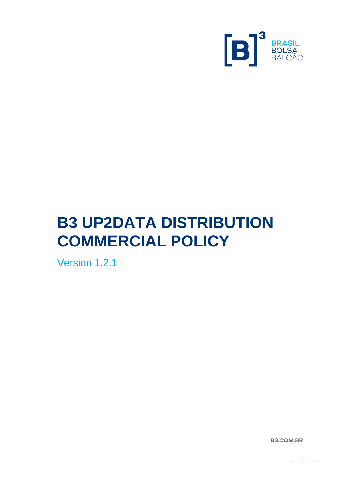

# **B3 UP2DATA DISTRIBUTION COMMERCIAL POLICY**

Version 1.2.1

**B3.COM.BR**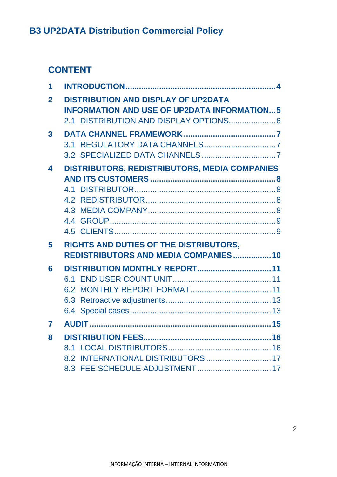## **CONTENT**

| 1                       |                                                                                                  |  |
|-------------------------|--------------------------------------------------------------------------------------------------|--|
| $\overline{2}$          | <b>DISTRIBUTION AND DISPLAY OF UP2DATA</b><br><b>INFORMATION AND USE OF UP2DATA INFORMATION5</b> |  |
| $\overline{\mathbf{3}}$ |                                                                                                  |  |
| 4                       | DISTRIBUTORS, REDISTRIBUTORS, MEDIA COMPANIES                                                    |  |
|                         |                                                                                                  |  |
|                         |                                                                                                  |  |
|                         |                                                                                                  |  |
|                         |                                                                                                  |  |
|                         |                                                                                                  |  |
|                         |                                                                                                  |  |
| 5                       | RIGHTS AND DUTIES OF THE DISTRIBUTORS,                                                           |  |
|                         | <b>REDISTRIBUTORS AND MEDIA COMPANIES  10</b>                                                    |  |
| 6                       | DISTRIBUTION MONTHLY REPORT 11                                                                   |  |
|                         |                                                                                                  |  |
|                         |                                                                                                  |  |
|                         |                                                                                                  |  |
|                         |                                                                                                  |  |
| 7                       |                                                                                                  |  |
| 8                       |                                                                                                  |  |
|                         |                                                                                                  |  |
|                         | 8.2 INTERNATIONAL DISTRIBUTORS  17                                                               |  |
|                         |                                                                                                  |  |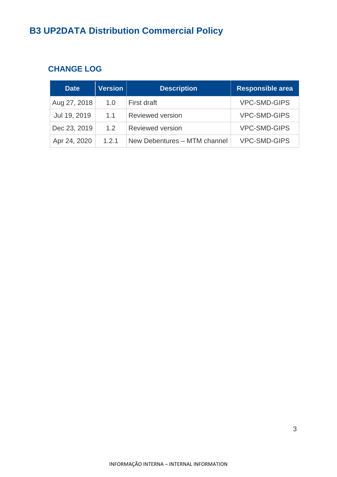## **CHANGE LOG**

| <b>Date</b>  | <b>Version</b> | <b>Description</b>           | <b>Responsible area</b> |
|--------------|----------------|------------------------------|-------------------------|
| Aug 27, 2018 | 1.0            | First draft                  | <b>VPC-SMD-GIPS</b>     |
| Jul 19, 2019 | 1.1            | <b>Reviewed version</b>      | <b>VPC-SMD-GIPS</b>     |
| Dec 23, 2019 | 1.2            | <b>Reviewed version</b>      | <b>VPC-SMD-GIPS</b>     |
| Apr 24, 2020 | 1.2.1          | New Debentures - MTM channel | <b>VPC-SMD-GIPS</b>     |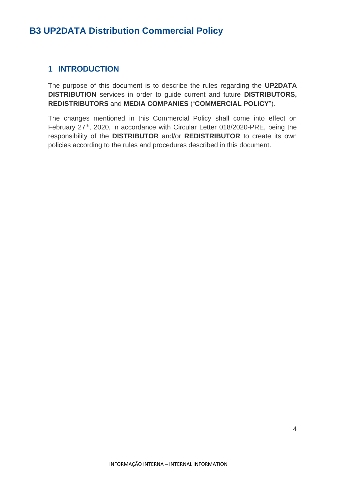#### <span id="page-3-0"></span>**1 INTRODUCTION**

The purpose of this document is to describe the rules regarding the **UP2DATA DISTRIBUTION** services in order to guide current and future **DISTRIBUTORS, REDISTRIBUTORS** and **MEDIA COMPANIES** ("**COMMERCIAL POLICY**").

The changes mentioned in this Commercial Policy shall come into effect on February 27<sup>th</sup>, 2020, in accordance with Circular Letter 018/2020-PRE, being the responsibility of the **DISTRIBUTOR** and/or **REDISTRIBUTOR** to create its own policies according to the rules and procedures described in this document.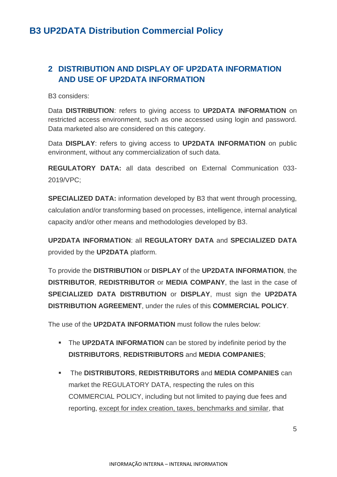## <span id="page-4-0"></span>**2 DISTRIBUTION AND DISPLAY OF UP2DATA INFORMATION AND USE OF UP2DATA INFORMATION**

B3 considers:

Data **DISTRIBUTION**: refers to giving access to **UP2DATA INFORMATION** on restricted access environment, such as one accessed using login and password. Data marketed also are considered on this category.

Data **DISPLAY**: refers to giving access to **UP2DATA INFORMATION** on public environment, without any commercialization of such data.

**REGULATORY DATA:** all data described on External Communication 033- 2019/VPC;

**SPECIALIZED DATA:** information developed by B3 that went through processing, calculation and/or transforming based on processes, intelligence, internal analytical capacity and/or other means and methodologies developed by B3.

**UP2DATA INFORMATION**: all **REGULATORY DATA** and **SPECIALIZED DATA** provided by the **UP2DATA** platform.

To provide the **DISTRIBUTION** or **DISPLAY** of the **UP2DATA INFORMATION**, the **DISTRIBUTOR**, **REDISTRIBUTOR** or **MEDIA COMPANY**, the last in the case of **SPECIALIZED DATA DISTRBUTION** or **DISPLAY**, must sign the **UP2DATA DISTRIBUTION AGREEMENT**, under the rules of this **COMMERCIAL POLICY**.

The use of the **UP2DATA INFORMATION** must follow the rules below:

- **EXTERM** INFORMATION can be stored by indefinite period by the **DISTRIBUTORS**, **REDISTRIBUTORS** and **MEDIA COMPANIES**;
- The **DISTRIBUTORS**, **REDISTRIBUTORS** and **MEDIA COMPANIES** can market the REGULATORY DATA, respecting the rules on this COMMERCIAL POLICY, including but not limited to paying due fees and reporting, except for index creation, taxes, benchmarks and similar, that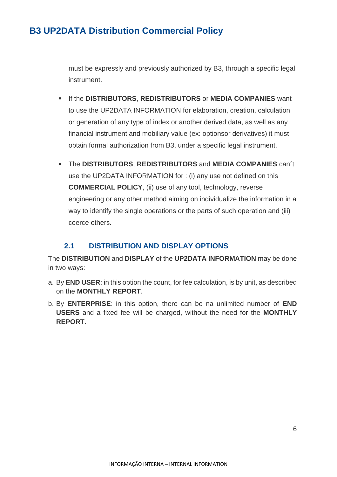must be expressly and previously authorized by B3, through a specific legal instrument.

- If the **DISTRIBUTORS**, **REDISTRIBUTORS** or **MEDIA COMPANIES** want to use the UP2DATA INFORMATION for elaboration, creation, calculation or generation of any type of index or another derived data, as well as any financial instrument and mobiliary value (ex: optionsor derivatives) it must obtain formal authorization from B3, under a specific legal instrument.
- The **DISTRIBUTORS**, **REDISTRIBUTORS** and **MEDIA COMPANIES** can´t use the UP2DATA INFORMATION for : (i) any use not defined on this **COMMERCIAL POLICY**, (ii) use of any tool, technology, reverse engineering or any other method aiming on individualize the information in a way to identify the single operations or the parts of such operation and (iii) coerce others.

#### <span id="page-5-0"></span>**2.1 DISTRIBUTION AND DISPLAY OPTIONS**

The **DISTRIBUTION** and **DISPLAY** of the **UP2DATA INFORMATION** may be done in two ways:

- a. By **END USER**: in this option the count, for fee calculation, is by unit, as described on the **MONTHLY REPORT**.
- b. By **ENTERPRISE**: in this option, there can be na unlimited number of **END USERS** and a fixed fee will be charged, without the need for the **MONTHLY REPORT**.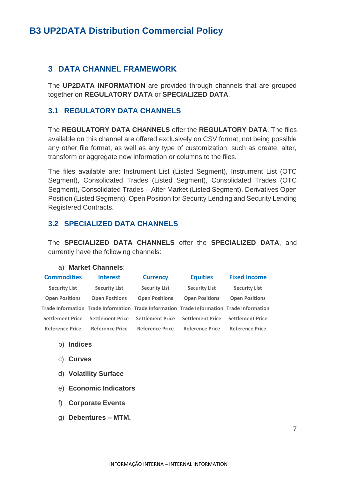#### <span id="page-6-0"></span>**3 DATA CHANNEL FRAMEWORK**

The **UP2DATA INFORMATION** are provided through channels that are grouped together on **REGULATORY DATA** or **SPECIALIZED DATA**.

#### <span id="page-6-1"></span>**3.1 REGULATORY DATA CHANNELS**

The **REGULATORY DATA CHANNELS** offer the **REGULATORY DATA**. The files available on this channel are offered exclusively on CSV format, not being possible any other file format, as well as any type of customization, such as create, alter, transform or aggregate new information or columns to the files.

The files available are: Instrument List (Listed Segment), Instrument List (OTC Segment), Consolidated Trades (Listed Segment), Consolidated Trades (OTC Segment), Consolidated Trades – After Market (Listed Segment), Derivatives Open Position (Listed Segment), Open Position for Security Lending and Security Lending Registered Contracts.

#### <span id="page-6-2"></span>**3.2 SPECIALIZED DATA CHANNELS**

The **SPECIALIZED DATA CHANNELS** offer the **SPECIALIZED DATA**, and currently have the following channels:

#### a) **Market Channels**:

| <b>Commodities</b>      | <b>Interest</b>         | <b>Currency</b>                                                                           | <b>Equities</b>         | <b>Fixed Income</b>     |  |
|-------------------------|-------------------------|-------------------------------------------------------------------------------------------|-------------------------|-------------------------|--|
| <b>Security List</b>    | <b>Security List</b>    | <b>Security List</b>                                                                      | <b>Security List</b>    | <b>Security List</b>    |  |
| <b>Open Positions</b>   | <b>Open Positions</b>   | <b>Open Positions</b>                                                                     | <b>Open Positions</b>   | <b>Open Positions</b>   |  |
|                         |                         | Trade Information Trade Information Trade Information Trade Information Trade Information |                         |                         |  |
| <b>Settlement Price</b> | <b>Settlement Price</b> | <b>Settlement Price</b>                                                                   | <b>Settlement Price</b> | <b>Settlement Price</b> |  |
| <b>Reference Price</b>  | <b>Reference Price</b>  | <b>Reference Price</b>                                                                    | <b>Reference Price</b>  | <b>Reference Price</b>  |  |

- b) **Indices**
- c) **Curves**
- d) **Volatility Surface**
- e) **Economic Indicators**
- f) **Corporate Events**
- g) **Debentures – MTM.**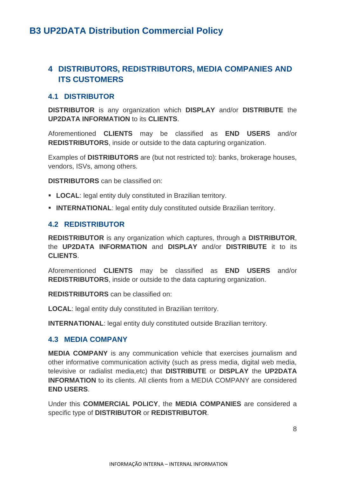## <span id="page-7-0"></span>**4 DISTRIBUTORS, REDISTRIBUTORS, MEDIA COMPANIES AND ITS CUSTOMERS**

#### <span id="page-7-1"></span>**4.1 DISTRIBUTOR**

**DISTRIBUTOR** is any organization which **DISPLAY** and/or **DISTRIBUTE** the **UP2DATA INFORMATION** to its **CLIENTS**.

Aforementioned **CLIENTS** may be classified as **END USERS** and/or **REDISTRIBUTORS**, inside or outside to the data capturing organization.

Examples of **DISTRIBUTORS** are (but not restricted to): banks, brokerage houses, vendors, ISVs, among others.

**DISTRIBUTORS** can be classified on:

- **EXECAL:** legal entity duly constituted in Brazilian territory.
- **EXTERNATIONAL:** legal entity duly constituted outside Brazilian territory.

#### <span id="page-7-2"></span>**4.2 REDISTRIBUTOR**

**REDISTRIBUTOR** is any organization which captures, through a **DISTRIBUTOR**, the **UP2DATA INFORMATION** and **DISPLAY** and/or **DISTRIBUTE** it to its **CLIENTS**.

Aforementioned **CLIENTS** may be classified as **END USERS** and/or **REDISTRIBUTORS**, inside or outside to the data capturing organization.

**REDISTRIBUTORS** can be classified on:

**LOCAL**: legal entity duly constituted in Brazilian territory.

**INTERNATIONAL**: legal entity duly constituted outside Brazilian territory.

#### <span id="page-7-3"></span>**4.3 MEDIA COMPANY**

**MEDIA COMPANY** is any communication vehicle that exercises journalism and other informative communication activity (such as press media, digital web media, televisive or radialist media,etc) that **DISTRIBUTE** or **DISPLAY** the **UP2DATA INFORMATION** to its clients. All clients from a MEDIA COMPANY are considered **END USERS**.

Under this **COMMERCIAL POLICY**, the **MEDIA COMPANIES** are considered a specific type of **DISTRIBUTOR** or **REDISTRIBUTOR**.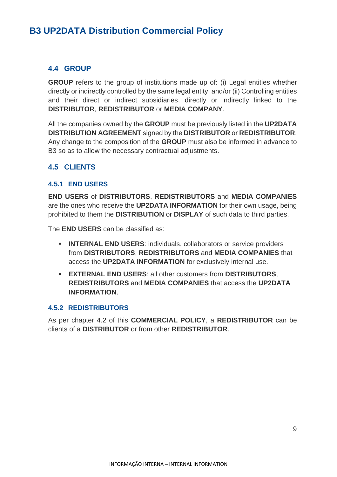#### <span id="page-8-0"></span>**4.4 GROUP**

**GROUP** refers to the group of institutions made up of: (i) Legal entities whether directly or indirectly controlled by the same legal entity; and/or (ii) Controlling entities and their direct or indirect subsidiaries, directly or indirectly linked to the **DISTRIBUTOR**, **REDISTRIBUTOR** or **MEDIA COMPANY**.

All the companies owned by the **GROUP** must be previously listed in the **UP2DATA DISTRIBUTION AGREEMENT** signed by the **DISTRIBUTOR** or **REDISTRIBUTOR**. Any change to the composition of the **GROUP** must also be informed in advance to B3 so as to allow the necessary contractual adjustments.

#### <span id="page-8-1"></span>**4.5 CLIENTS**

#### **4.5.1 END USERS**

**END USERS** of **DISTRIBUTORS**, **REDISTRIBUTORS** and **MEDIA COMPANIES** are the ones who receive the **UP2DATA INFORMATION** for their own usage, being prohibited to them the **DISTRIBUTION** or **DISPLAY** of such data to third parties.

The **END USERS** can be classified as:

- **INTERNAL END USERS**: individuals, collaborators or service providers from **DISTRIBUTORS**, **REDISTRIBUTORS** and **MEDIA COMPANIES** that access the **UP2DATA INFORMATION** for exclusively internal use.
- **EXTERNAL END USERS**: all other customers from **DISTRIBUTORS**, **REDISTRIBUTORS** and **MEDIA COMPANIES** that access the **UP2DATA INFORMATION**.

#### **4.5.2 REDISTRIBUTORS**

As per chapter 4.2 of this **COMMERCIAL POLICY**, a **REDISTRIBUTOR** can be clients of a **DISTRIBUTOR** or from other **REDISTRIBUTOR**.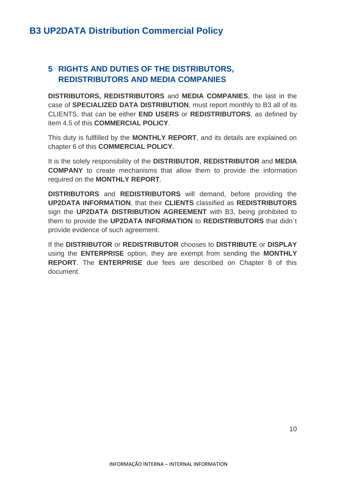## <span id="page-9-0"></span>**5 RIGHTS AND DUTIES OF THE DISTRIBUTORS, REDISTRIBUTORS AND MEDIA COMPANIES**

**DISTRIBUTORS, REDISTRIBUTORS** and **MEDIA COMPANIES**, the last in the case of **SPECIALIZED DATA DISTRIBUTION**, must report monthly to B3 all of its CLIENTS, that can be either **END USERS** or **REDISTRIBUTORS**, as defined by item 4.5 of this **COMMERCIAL POLICY**.

This duty is fullfilled by the **MONTHLY REPORT**, and its details are explained on chapter 6 of this **COMMERCIAL POLICY**.

It is the solely responsibility of the **DISTRIBUTOR**, **REDISTRIBUTOR** and **MEDIA COMPANY** to create mechanisms that allow them to provide the information required on the **MONTHLY REPORT**.

**DISTRIBUTORS** and **REDISTRIBUTORS** will demand, before providing the **UP2DATA INFORMATION**, that their **CLIENTS** classified as **REDISTRIBUTORS** sign the **UP2DATA DISTRIBUTION AGREEMENT** with B3, being prohibited to them to provide the **UP2DATA INFORMATION** to **REDISTRIBUTORS** that didn´t provide evidence of such agreement.

If the **DISTRIBUTOR** or **REDISTRIBUTOR** chooses to **DISTRIBUTE** or **DISPLAY** using the **ENTERPRISE** option, they are exempt from sending the **MONTHLY REPORT**. The **ENTERPRISE** due fees are described on Chapter 8 of this document.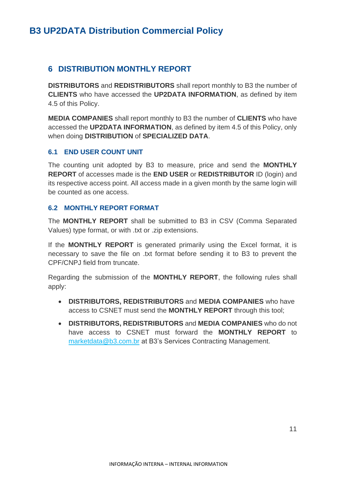#### <span id="page-10-0"></span>**6 DISTRIBUTION MONTHLY REPORT**

**DISTRIBUTORS** and **REDISTRIBUTORS** shall report monthly to B3 the number of **CLIENTS** who have accessed the **UP2DATA INFORMATION**, as defined by item 4.5 of this Policy.

**MEDIA COMPANIES** shall report monthly to B3 the number of **CLIENTS** who have accessed the **UP2DATA INFORMATION**, as defined by item 4.5 of this Policy, only when doing **DISTRIBUTION** of **SPECIALIZED DATA**.

#### <span id="page-10-1"></span>**6.1 END USER COUNT UNIT**

The counting unit adopted by B3 to measure, price and send the **MONTHLY REPORT** of accesses made is the **END USER** or **REDISTRIBUTOR** ID (login) and its respective access point. All access made in a given month by the same login will be counted as one access.

#### <span id="page-10-2"></span>**6.2 MONTHLY REPORT FORMAT**

The **MONTHLY REPORT** shall be submitted to B3 in CSV (Comma Separated Values) type format, or with .txt or .zip extensions.

If the **MONTHLY REPORT** is generated primarily using the Excel format, it is necessary to save the file on .txt format before sending it to B3 to prevent the CPF/CNPJ field from truncate.

Regarding the submission of the **MONTHLY REPORT**, the following rules shall apply:

- **DISTRIBUTORS, REDISTRIBUTORS** and **MEDIA COMPANIES** who have access to CSNET must send the **MONTHLY REPORT** through this tool;
- **DISTRIBUTORS, REDISTRIBUTORS** and **MEDIA COMPANIES** who do not have access to CSNET must forward the **MONTHLY REPORT** to [marketdata@b3.com.br](mailto:marketdata@b3.com.br) at B3's Services Contracting Management.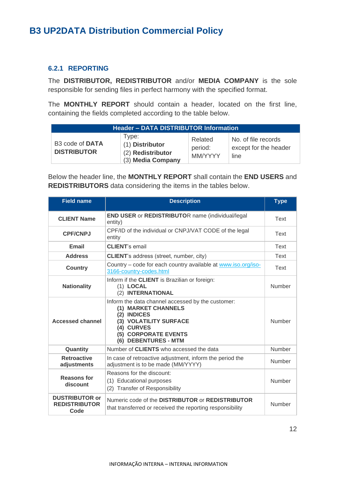#### **6.2.1 REPORTING**

The **DISTRIBUTOR, REDISTRIBUTOR** and/or **MEDIA COMPANY** is the sole responsible for sending files in perfect harmony with the specified format.

The **MONTHLY REPORT** should contain a header, located on the first line, containing the fields completed according to the table below.

| <b>Header - DATA DISTRIBUTOR Information</b> |                                                                    |                               |                                                      |  |  |  |
|----------------------------------------------|--------------------------------------------------------------------|-------------------------------|------------------------------------------------------|--|--|--|
| B3 code of DATA<br><b>DISTRIBUTOR</b>        | Type:<br>(1) Distributor<br>(2) Redistributor<br>(3) Media Company | Related<br>period:<br>MM/YYYY | No. of file records<br>except for the header<br>line |  |  |  |

Below the header line, the **MONTHLY REPORT** shall contain the **END USERS** and **REDISTRIBUTORS** data considering the items in the tables below.

| <b>Field name</b>                                     | <b>Description</b>                                                                                                                                                                                  | <b>Type</b> |
|-------------------------------------------------------|-----------------------------------------------------------------------------------------------------------------------------------------------------------------------------------------------------|-------------|
| <b>CLIENT Name</b>                                    | <b>END USER or REDISTRIBUTOR name (individual/legal</b><br>entity)                                                                                                                                  | Text        |
| <b>CPF/CNPJ</b>                                       | CPF/ID of the individual or CNPJ/VAT CODE of the legal<br>entity                                                                                                                                    | Text        |
| <b>Email</b>                                          | <b>CLIENT's email</b>                                                                                                                                                                               | Text        |
| <b>Address</b>                                        | <b>CLIENT's address (street, number, city)</b>                                                                                                                                                      | <b>Text</b> |
| <b>Country</b>                                        | Country – code for each country available at www.iso.org/iso-<br>3166-country-codes.html                                                                                                            | Text        |
| <b>Nationality</b>                                    | Inform if the CLIENT is Brazilian or foreign:<br>$(1)$ LOCAL<br>(2) INTERNATIONAL                                                                                                                   | Number      |
| <b>Accessed channel</b>                               | Inform the data channel accessed by the customer:<br>(1) MARKET CHANNELS<br>(2) INDICES<br>(3) VOLATILITY SURFACE<br><b>CURVES</b><br>(4)<br><b>CORPORATE EVENTS</b><br>(5)<br>(6) DEBENTURES - MTM | Number      |
| Quantity                                              | Number of CLIENTS who accessed the data                                                                                                                                                             | Number      |
| <b>Retroactive</b><br>adjustments                     | In case of retroactive adjustment, inform the period the<br>adjustment is to be made (MM/YYYY)                                                                                                      | Number      |
| <b>Reasons for</b><br>discount                        | Reasons for the discount:<br>(1) Educational purposes<br><b>Transfer of Responsibility</b><br>(2)                                                                                                   | Number      |
| <b>DUSTRIBUTOR or</b><br><b>REDISTRIBUTOR</b><br>Code | Numeric code of the DISTRIBUTOR or REDISTRIBUTOR<br>that transferred or received the reporting responsibility                                                                                       | Number      |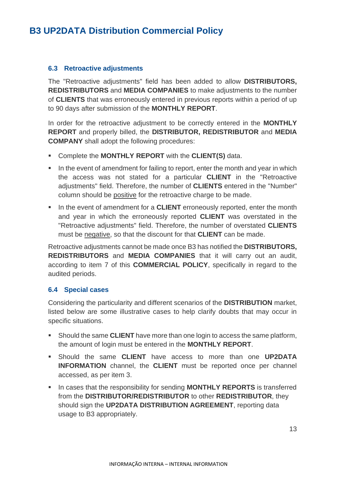#### <span id="page-12-0"></span>**6.3 Retroactive adjustments**

The "Retroactive adjustments" field has been added to allow **DISTRIBUTORS, REDISTRIBUTORS** and **MEDIA COMPANIES** to make adjustments to the number of **CLIENTS** that was erroneously entered in previous reports within a period of up to 90 days after submission of the **MONTHLY REPORT**.

In order for the retroactive adjustment to be correctly entered in the **MONTHLY REPORT** and properly billed, the **DISTRIBUTOR, REDISTRIBUTOR** and **MEDIA COMPANY** shall adopt the following procedures:

- Complete the **MONTHLY REPORT** with the **CLIENT(S)** data.
- **•** In the event of amendment for failing to report, enter the month and year in which the access was not stated for a particular **CLIENT** in the "Retroactive adjustments" field. Therefore, the number of **CLIENTS** entered in the "Number" column should be positive for the retroactive charge to be made.
- In the event of amendment for a **CLIENT** erroneously reported, enter the month and year in which the erroneously reported **CLIENT** was overstated in the "Retroactive adjustments" field. Therefore, the number of overstated **CLIENTS** must be negative, so that the discount for that **CLIENT** can be made.

Retroactive adjustments cannot be made once B3 has notified the **DISTRIBUTORS, REDISTRIBUTORS** and **MEDIA COMPANIES** that it will carry out an audit, according to item 7 of this **COMMERCIAL POLICY**, specifically in regard to the audited periods.

#### <span id="page-12-1"></span>**6.4 Special cases**

Considering the particularity and different scenarios of the **DISTRIBUTION** market, listed below are some illustrative cases to help clarify doubts that may occur in specific situations.

- Should the same **CLIENT** have more than one login to access the same platform, the amount of login must be entered in the **MONTHLY REPORT**.
- Should the same **CLIENT** have access to more than one **UP2DATA INFORMATION** channel, the **CLIENT** must be reported once per channel accessed, as per item 3.
- In cases that the responsibility for sending **MONTHLY REPORTS** is transferred from the **DISTRIBUTOR/REDISTRIBUTOR** to other **REDISTRIBUTOR**, they should sign the **UP2DATA DISTRIBUTION AGREEMENT**, reporting data usage to B3 appropriately.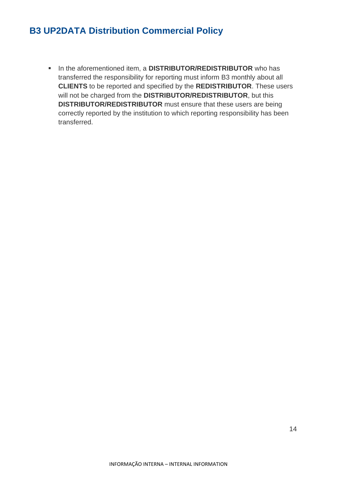▪ In the aforementioned item, a **DISTRIBUTOR/REDISTRIBUTOR** who has transferred the responsibility for reporting must inform B3 monthly about all **CLIENTS** to be reported and specified by the **REDISTRIBUTOR**. These users will not be charged from the **DISTRIBUTOR/REDISTRIBUTOR**, but this **DISTRIBUTOR/REDISTRIBUTOR** must ensure that these users are being correctly reported by the institution to which reporting responsibility has been transferred.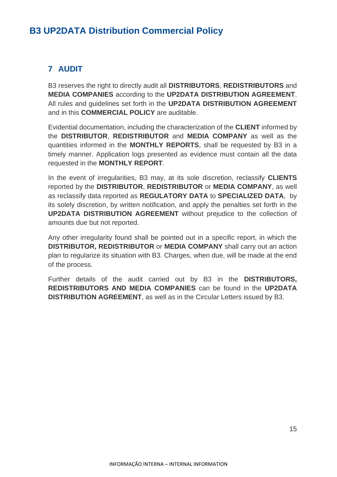## <span id="page-14-0"></span>**7 AUDIT**

B3 reserves the right to directly audit all **DISTRIBUTORS**, **REDISTRIBUTORS** and **MEDIA COMPANIES** according to the **UP2DATA DISTRIBUTION AGREEMENT**. All rules and guidelines set forth in the **UP2DATA DISTRIBUTION AGREEMENT** and in this **COMMERCIAL POLICY** are auditable.

Evidential documentation, including the characterization of the **CLIENT** informed by the **DISTRIBUTOR**, **REDISTRIBUTOR** and **MEDIA COMPANY** as well as the quantities informed in the **MONTHLY REPORTS**, shall be requested by B3 in a timely manner. Application logs presented as evidence must contain all the data requested in the **MONTHLY REPORT**.

In the event of irregularities, B3 may, at its sole discretion, reclassify **CLIENTS** reported by the **DISTRIBUTOR**, **REDISTRIBUTOR** or **MEDIA COMPANY**, as well as reclassify data reported as **REGULATORY DATA** to **SPECIALIZED DATA**, by its solely discretion, by written notification, and apply the penalties set forth in the **UP2DATA DISTRIBUTION AGREEMENT** without prejudice to the collection of amounts due but not reported.

Any other irregularity found shall be pointed out in a specific report, in which the **DISTRIBUTOR, REDISTRIBUTOR** or **MEDIA COMPANY** shall carry out an action plan to regularize its situation with B3. Charges, when due, will be made at the end of the process.

Further details of the audit carried out by B3 in the **DISTRIBUTORS, REDISTRIBUTORS AND MEDIA COMPANIES** can be found in the **UP2DATA DISTRIBUTION AGREEMENT**, as well as in the Circular Letters issued by B3.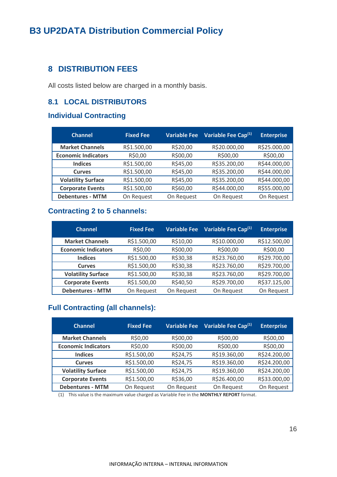#### <span id="page-15-0"></span>**8 DISTRIBUTION FEES**

All costs listed below are charged in a monthly basis.

#### <span id="page-15-1"></span>**8.1 LOCAL DISTRIBUTORS**

#### **Individual Contracting**

| <b>Channel</b>             | <b>Fixed Fee</b> | <b>Variable Fee</b> | Variable Fee Cap <sup>(1)</sup> | <b>Enterprise</b> |
|----------------------------|------------------|---------------------|---------------------------------|-------------------|
| <b>Market Channels</b>     | R\$1.500,00      | R\$20,00            | R\$20.000,00                    | R\$25.000,00      |
| <b>Economic Indicators</b> | R\$0,00          | R\$00,00            | R\$00,00                        | R\$00,00          |
| <b>Indices</b>             | R\$1.500,00      | R\$45,00            | R\$35.200,00                    | R\$44.000,00      |
| <b>Curves</b>              | R\$1.500,00      | R\$45,00            | R\$35.200,00                    | R\$44.000,00      |
| <b>Volatility Surface</b>  | R\$1.500,00      | R\$45,00            | R\$35.200,00                    | R\$44.000,00      |
| <b>Corporate Events</b>    | R\$1.500,00      | R\$60,00            | R\$44.000,00                    | R\$55.000,00      |
| <b>Debentures - MTM</b>    | On Request       | On Request          | On Request                      | On Request        |

#### **Contracting 2 to 5 channels:**

| <b>Channel</b>             | <b>Fixed Fee</b> | <b>Variable Fee</b> | Variable Fee Cap <sup>(1)</sup> | <b>Enterprise</b> |
|----------------------------|------------------|---------------------|---------------------------------|-------------------|
| <b>Market Channels</b>     | R\$1.500,00      | R\$10,00            | R\$10.000,00                    | R\$12.500,00      |
| <b>Economic Indicators</b> | R\$0,00          | R\$00,00            | R\$00,00                        | R\$00,00          |
| <b>Indices</b>             | R\$1.500,00      | R\$30,38            | R\$23.760,00                    | R\$29.700,00      |
| <b>Curves</b>              | R\$1.500,00      | R\$30,38            | R\$23.760,00                    | R\$29.700,00      |
| <b>Volatility Surface</b>  | R\$1.500,00      | R\$30,38            | R\$23.760,00                    | R\$29.700,00      |
| <b>Corporate Events</b>    | R\$1.500,00      | R\$40,50            | R\$29.700,00                    | R\$37.125,00      |
| <b>Debentures - MTM</b>    | On Request       | On Request          | On Request                      | On Request        |

#### **Full Contracting (all channels):**

| <b>Channel</b>             | <b>Fixed Fee</b> | <b>Variable Fee</b> | Variable Fee Cap <sup>(1)</sup> | <b>Enterprise</b> |
|----------------------------|------------------|---------------------|---------------------------------|-------------------|
| <b>Market Channels</b>     | R\$0,00          | R\$00,00            | R\$00,00                        | R\$00,00          |
| <b>Economic Indicators</b> | R\$0,00          | R\$00,00            | R\$00,00                        | R\$00,00          |
| <b>Indices</b>             | R\$1.500,00      | R\$24,75            | R\$19.360,00                    | R\$24.200,00      |
| <b>Curves</b>              | R\$1.500,00      | R\$24,75            | R\$19.360,00                    | R\$24.200,00      |
| <b>Volatility Surface</b>  | R\$1.500,00      | R\$24,75            | R\$19.360,00                    | R\$24.200,00      |
| <b>Corporate Events</b>    | R\$1.500,00      | R\$36,00            | R\$26.400,00                    | R\$33.000,00      |
| <b>Debentures - MTM</b>    | On Request       | On Request          | On Request                      | On Request        |

(1) This value is the maximum value charged as Variable Fee in the **MONTHLY REPORT** format.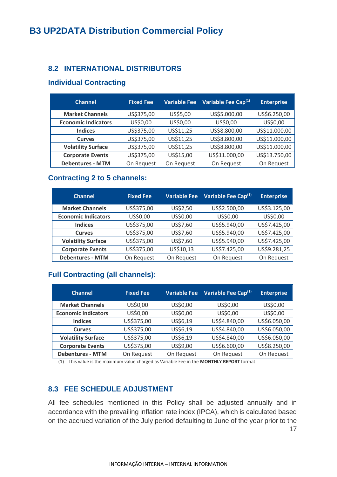#### <span id="page-16-0"></span>**8.2 INTERNATIONAL DISTRIBUTORS**

#### **Individual Contracting**

| <b>Channel</b>             | <b>Fixed Fee</b> | <b>Variable Fee</b> | Variable Fee Cap <sup>(1)</sup> | <b>Enterprise</b> |
|----------------------------|------------------|---------------------|---------------------------------|-------------------|
| <b>Market Channels</b>     | US\$375,00       | US\$5,00            | US\$5.000,00                    | US\$6.250,00      |
| <b>Economic Indicators</b> | US\$0,00         | US\$0,00            | US\$0,00                        | US\$0,00          |
| <b>Indices</b>             | US\$375,00       | US\$11,25           | US\$8.800,00                    | US\$11.000,00     |
| <b>Curves</b>              | US\$375,00       | US\$11,25           | US\$8.800,00                    | US\$11.000,00     |
| <b>Volatility Surface</b>  | US\$375,00       | US\$11,25           | US\$8.800,00                    | US\$11.000,00     |
| <b>Corporate Events</b>    | US\$375,00       | US\$15,00           | US\$11.000,00                   | US\$13.750,00     |
| <b>Debentures - MTM</b>    | On Request       | On Request          | On Request                      | On Request        |

#### **Contracting 2 to 5 channels:**

| <b>Channel</b>             | <b>Fixed Fee</b> | <b>Variable Fee</b> | Variable Fee Cap <sup>(1)</sup> | <b>Enterprise</b> |
|----------------------------|------------------|---------------------|---------------------------------|-------------------|
| <b>Market Channels</b>     | US\$375,00       | US\$2,50            | US\$2.500,00                    | US\$3.125,00      |
| <b>Economic Indicators</b> | US\$0,00         | US\$0,00            | US\$0,00                        | US\$0,00          |
| <b>Indices</b>             | US\$375,00       | US\$7,60            | US\$5.940,00                    | US\$7.425,00      |
| <b>Curves</b>              | US\$375,00       | US\$7,60            | US\$5.940,00                    | US\$7.425,00      |
| <b>Volatility Surface</b>  | US\$375,00       | US\$7,60            | US\$5.940,00                    | US\$7.425,00      |
| <b>Corporate Events</b>    | US\$375,00       | US\$10,13           | US\$7.425,00                    | US\$9.281,25      |
| <b>Debentures - MTM</b>    | On Request       | On Request          | On Request                      | On Request        |

#### **Full Contracting (all channels):**

| <b>Channel</b>             | <b>Fixed Fee</b> | <b>Variable Fee</b> | Variable Fee Cap <sup>(1)</sup> | <b>Enterprise</b> |
|----------------------------|------------------|---------------------|---------------------------------|-------------------|
| <b>Market Channels</b>     | US\$0,00         | US\$0,00            | US\$0,00                        | US\$0,00          |
| <b>Economic Indicators</b> | US\$0,00         | US\$0,00            | US\$0,00                        | US\$0,00          |
| <b>Indices</b>             | US\$375,00       | US\$6,19            | US\$4.840,00                    | US\$6.050,00      |
| <b>Curves</b>              | US\$375,00       | US\$6,19            | US\$4.840,00                    | US\$6.050,00      |
| <b>Volatility Surface</b>  | US\$375,00       | US\$6,19            | US\$4.840,00                    | US\$6.050,00      |
| <b>Corporate Events</b>    | US\$375,00       | US\$9,00            | US\$6.600,00                    | US\$8.250,00      |
| <b>Debentures - MTM</b>    | On Request       | On Request          | On Request                      | On Request        |

(1) This value is the maximum value charged as Variable Fee in the **MONTHLY REPORT** format.

#### <span id="page-16-1"></span>**8.3 FEE SCHEDULE ADJUSTMENT**

All fee schedules mentioned in this Policy shall be adjusted annually and in accordance with the prevailing inflation rate index (IPCA), which is calculated based on the accrued variation of the July period defaulting to June of the year prior to the